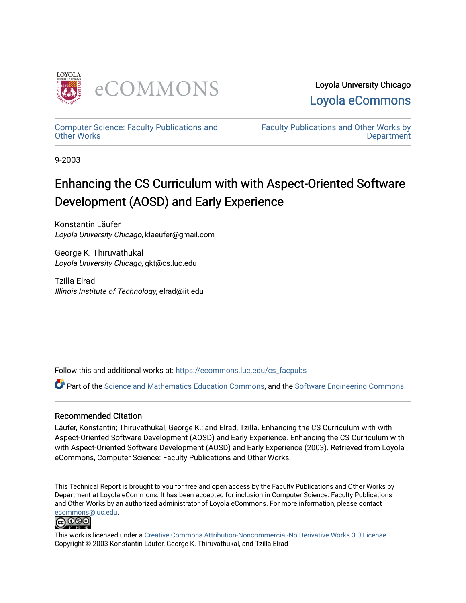

[Computer Science: Faculty Publications and](https://ecommons.luc.edu/cs_facpubs) [Other Works](https://ecommons.luc.edu/cs_facpubs)

[Faculty Publications and Other Works by](https://ecommons.luc.edu/faculty)  **Department** 

9-2003

# Enhancing the CS Curriculum with with Aspect-Oriented Software Development (AOSD) and Early Experience

Konstantin Läufer Loyola University Chicago, klaeufer@gmail.com

George K. Thiruvathukal Loyola University Chicago, gkt@cs.luc.edu

Tzilla Elrad Illinois Institute of Technology, elrad@iit.edu

Follow this and additional works at: [https://ecommons.luc.edu/cs\\_facpubs](https://ecommons.luc.edu/cs_facpubs?utm_source=ecommons.luc.edu%2Fcs_facpubs%2F4&utm_medium=PDF&utm_campaign=PDFCoverPages)

Part of the [Science and Mathematics Education Commons,](http://network.bepress.com/hgg/discipline/800?utm_source=ecommons.luc.edu%2Fcs_facpubs%2F4&utm_medium=PDF&utm_campaign=PDFCoverPages) and the Software Engineering Commons

## Recommended Citation

Läufer, Konstantin; Thiruvathukal, George K.; and Elrad, Tzilla. Enhancing the CS Curriculum with with Aspect-Oriented Software Development (AOSD) and Early Experience. Enhancing the CS Curriculum with with Aspect-Oriented Software Development (AOSD) and Early Experience (2003). Retrieved from Loyola eCommons, Computer Science: Faculty Publications and Other Works.

This Technical Report is brought to you for free and open access by the Faculty Publications and Other Works by Department at Loyola eCommons. It has been accepted for inclusion in Computer Science: Faculty Publications and Other Works by an authorized administrator of Loyola eCommons. For more information, please contact [ecommons@luc.edu](mailto:ecommons@luc.edu).



This work is licensed under a [Creative Commons Attribution-Noncommercial-No Derivative Works 3.0 License.](https://creativecommons.org/licenses/by-nc-nd/3.0/) Copyright © 2003 Konstantin Läufer, George K. Thiruvathukal, and Tzilla Elrad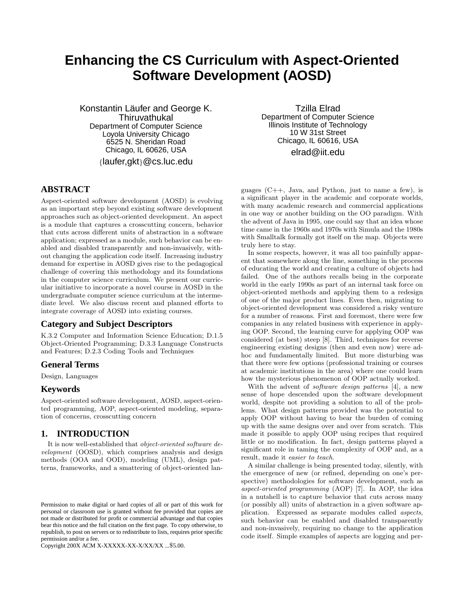## **Enhancing the CS Curriculum with Aspect-Oriented Software Development (AOSD)**

Konstantin Läufer and George K. Thiruvathukal Department of Computer Science Loyola University Chicago 6525 N. Sheridan Road Chicago, IL 60626, USA

{laufer,gkt}@cs.luc.edu

## **ABSTRACT**

Aspect-oriented software development (AOSD) is evolving as an important step beyond existing software development approaches such as object-oriented development. An aspect is a module that captures a crosscutting concern, behavior that cuts across different units of abstraction in a software application; expressed as a module, such behavior can be enabled and disabled transparently and non-invasively, without changing the application code itself. Increasing industry demand for expertise in AOSD gives rise to the pedagogical challenge of covering this methodology and its foundations in the computer science curriculum. We present our curricular initiative to incorporate a novel course in AOSD in the undergraduate computer science curriculum at the intermediate level. We also discuss recent and planned efforts to integrate coverage of AOSD into existing courses.

## **Category and Subject Descriptors**

K.3.2 Computer and Information Science Education; D.1.5 Object-Oriented Programming; D.3.3 Language Constructs and Features; D.2.3 Coding Tools and Techniques

#### **General Terms**

Design, Languages

## **Keywords**

Aspect-oriented software development, AOSD, aspect-oriented programming, AOP, aspect-oriented modeling, separation of concerns, crosscutting concern

#### **1. INTRODUCTION**

It is now well-established that object-oriented software development (OOSD), which comprises analysis and design methods (OOA and OOD), modeling (UML), design patterns, frameworks, and a smattering of object-oriented lan-

Copyright 200X ACM X-XXXXX-XX-X/XX/XX ...\$5.00.

Tzilla Elrad Department of Computer Science Illinois Institute of Technology 10 W 31st Street Chicago, IL 60616, USA elrad@iit.edu

guages (C++, Java, and Python, just to name a few), is a significant player in the academic and corporate worlds, with many academic research and commercial applications in one way or another building on the OO paradigm. With the advent of Java in 1995, one could say that an idea whose time came in the 1960s and 1970s with Simula and the 1980s with Smalltalk formally got itself on the map. Objects were truly here to stay.

In some respects, however, it was all too painfully apparent that somewhere along the line, something in the process of educating the world and creating a culture of objects had failed. One of the authors recalls being in the corporate world in the early 1990s as part of an internal task force on object-oriented methods and applying them to a redesign of one of the major product lines. Even then, migrating to object-oriented development was considered a risky venture for a number of reasons. First and foremost, there were few companies in any related business with experience in applying OOP. Second, the learning curve for applying OOP was considered (at best) steep [8]. Third, techniques for reverse engineering existing designs (then and even now) were adhoc and fundamentally limited. But more disturbing was that there were few options (professional training or courses at academic institutions in the area) where one could learn how the mysterious phenomenon of OOP actually worked.

With the advent of *software design patterns* [4], a new sense of hope descended upon the software development world, despite not providing a solution to all of the problems. What design patterns provided was the potential to apply OOP without having to bear the burden of coming up with the same designs over and over from scratch. This made it possible to apply OOP using recipes that required little or no modification. In fact, design patterns played a significant role in taming the complexity of OOP and, as a result, made it easier to teach.

A similar challenge is being presented today, silently, with the emergence of new (or refined, depending on one's perspective) methodologies for software development, such as aspect-oriented programming (AOP) [7]. In AOP, the idea in a nutshell is to capture behavior that cuts across many (or possibly all) units of abstraction in a given software application. Expressed as separate modules called aspects, such behavior can be enabled and disabled transparently and non-invasively, requiring no change to the application code itself. Simple examples of aspects are logging and per-

Permission to make digital or hard copies of all or part of this work for personal or classroom use is granted without fee provided that copies are not made or distributed for profit or commercial advantage and that copies bear this notice and the full citation on the first page. To copy otherwise, to republish, to post on servers or to redistribute to lists, requires prior specific permission and/or a fee.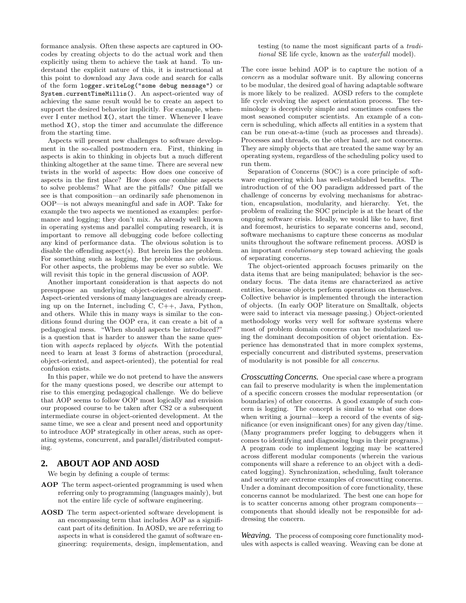formance analysis. Often these aspects are captured in OOcodes by creating objects to do the actual work and then explicitly using them to achieve the task at hand. To understand the explicit nature of this, it is instructional at this point to download any Java code and search for calls of the form logger.writeLog("some debug message") or System.currentTimeMillis(). An aspect-oriented way of achieving the same result would be to create an aspect to support the desired behavior implicitly. For example, whenever I enter method X(), start the timer. Whenever I leave method X(), stop the timer and accumulate the difference from the starting time.

Aspects will present new challenges to software development in the so-called postmodern era. First, thinking in aspects is akin to thinking in objects but a much different thinking altogether at the same time. There are several new twists in the world of aspects: How does one conceive of aspects in the first place? How does one combine aspects to solve problems? What are the pitfalls? One pitfall we see is that composition—an ordinarily safe phenomenon in OOP—is not always meaningful and safe in AOP. Take for example the two aspects we mentioned as examples: performance and logging; they don't mix. As already well known in operating systems and parallel computing research, it is important to remove all debugging code before collecting any kind of performance data. The obvious solution is to disable the offending aspect(s). But herein lies the problem. For something such as logging, the problems are obvious. For other aspects, the problems may be ever so subtle. We will revisit this topic in the general discussion of AOP.

Another important consideration is that aspects do not presuppose an underlying object-oriented environment. Aspect-oriented versions of many languages are already creeping up on the Internet, including C, C++, Java, Python, and others. While this in many ways is similar to the conditions found during the OOP era, it can create a bit of a pedagogical mess. "When should aspects be introduced?" is a question that is harder to answer than the same question with aspects replaced by objects. With the potential need to learn at least 3 forms of abstraction (procedural, object-oriented, and aspect-oriented), the potential for real confusion exists.

In this paper, while we do not pretend to have the answers for the many questions posed, we describe our attempt to rise to this emerging pedagogical challenge. We do believe that AOP seems to follow OOP most logically and envision our proposed course to be taken after CS2 or a subsequent intermediate course in object-oriented development. At the same time, we see a clear and present need and opportunity to introduce AOP strategically in other areas, such as operating systems, concurrent, and parallel/distributed computing.

## **2. ABOUT AOP AND AOSD**

We begin by defining a couple of terms:

- AOP The term aspect-oriented programming is used when referring only to programming (languages mainly), but not the entire life cycle of software engineering.
- AOSD The term aspect-oriented software development is an encompassing term that includes AOP as a significant part of its definition. In AOSD, we are referring to aspects in what is considered the gamut of software engineering: requirements, design, implementation, and

#### testing (to name the most significant parts of a traditional SE life cycle, known as the waterfall model).

The core issue behind AOP is to capture the notion of a concern as a modular software unit. By allowing concerns to be modular, the desired goal of having adaptable software is more likely to be realized. AOSD refers to the complete life cycle evolving the aspect orientation process. The terminology is deceptively simple and sometimes confuses the most seasoned computer scientists. An example of a concern is scheduling, which affects all entities in a system that can be run one-at-a-time (such as processes and threads). Processes and threads, on the other hand, are not concerns. They are simply objects that are treated the same way by an operating system, regardless of the scheduling policy used to run them.

Separation of Concerns (SOC) is a core principle of software engineering which has well-established benefits. The introduction of of the OO paradigm addressed part of the challenge of concerns by evolving mechanisms for abstraction, encapsulation, modularity, and hierarchy. Yet, the problem of realizing the SOC principle is at the heart of the ongoing software crisis. Ideally, we would like to have, first and foremost, heuristics to separate concerns and, second, software mechanisms to capture these concerns as modular units throughout the software refinement process. AOSD is an important evolutionary step toward achieving the goals of separating concerns.

The object-oriented approach focuses primarily on the data items that are being manipulated; behavior is the secondary focus. The data items are characterized as active entities, because objects perform operations on themselves. Collective behavior is implemented through the interaction of objects. (In early OOP literature on Smalltalk, objects were said to interact via message passing.) Object-oriented methodology works very well for software systems where most of problem domain concerns can be modularized using the dominant decomposition of object orientation. Experience has demonstrated that in more complex systems, especially concurrent and distributed systems, preservation of modularity is not possible for all concerns.

*Crosscutting Concerns.* One special case where a program can fail to preserve modularity is when the implementation of a specific concern crosses the modular representation (or boundaries) of other concerns. A good example of such concern is logging. The concept is similar to what one does when writing a journal—keep a record of the events of significance (or even insignificant ones) for any given day/time. (Many programmers prefer logging to debuggers when it comes to identifying and diagnosing bugs in their programs.) A program code to implement logging may be scattered across different modular components (wherein the various components will share a reference to an object with a dedicated logging). Synchronization, scheduling, fault tolerance and security are extreme examples of crosscutting concerns. Under a dominant decomposition of core functionality, these concerns cannot be modularized. The best one can hope for is to scatter concerns among other program components components that should ideally not be responsible for addressing the concern.

*Weaving.* The process of composing core functionality modules with aspects is called weaving. Weaving can be done at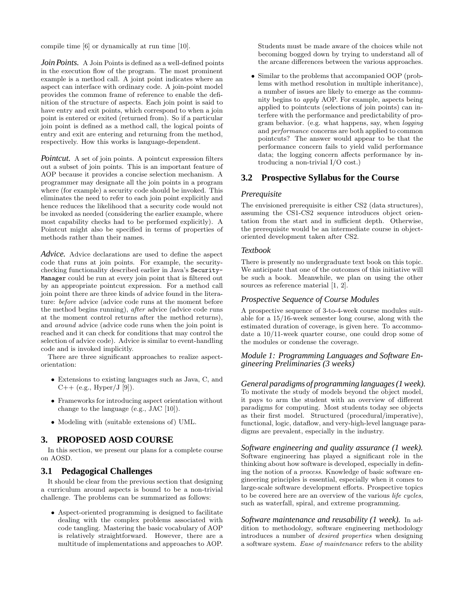compile time [6] or dynamically at run time [10].

*Join Points.* A Join Points is defined as a well-defined points in the execution flow of the program. The most prominent example is a method call. A joint point indicates where an aspect can interface with ordinary code. A join-point model provides the common frame of reference to enable the definition of the structure of aspects. Each join point is said to have entry and exit points, which correspond to when a join point is entered or exited (returned from). So if a particular join point is defined as a method call, the logical points of entry and exit are entering and returning from the method, respectively. How this works is language-dependent.

*Pointcut.* A set of join points. A pointcut expression filters out a subset of join points. This is an important feature of AOP because it provides a concise selection mechanism. A programmer may designate all the join points in a program where (for example) a security code should be invoked. This eliminates the need to refer to each join point explicitly and hence reduces the likelihood that a security code would not be invoked as needed (considering the earlier example, where most capability checks had to be performed explicitly). A Pointcut might also be specified in terms of properties of methods rather than their names.

*Advice.* Advice declarations are used to define the aspect code that runs at join points. For example, the securitychecking functionality described earlier in Java's Security-Manager could be run at every join point that is filtered out by an appropriate pointcut expression. For a method call join point there are three kinds of advice found in the literature: before advice (advice code runs at the moment before the method begins running), after advice (advice code runs at the moment control returns after the method returns), and around advice (advice code runs when the join point is reached and it can check for conditions that may control the selection of advice code). Advice is similar to event-handling code and is invoked implicitly.

There are three significant approaches to realize aspectorientation:

- Extensions to existing languages such as Java, C, and  $C++$  (e.g., Hyper/J [9]).
- Frameworks for introducing aspect orientation without change to the language (e.g., JAC [10]).
- Modeling with (suitable extensions of) UML.

## **3. PROPOSED AOSD COURSE**

In this section, we present our plans for a complete course on AOSD.

## **3.1 Pedagogical Challenges**

It should be clear from the previous section that designing a curriculum around aspects is bound to be a non-trivial challenge. The problems can be summarized as follows:

• Aspect-oriented programming is designed to facilitate dealing with the complex problems associated with code tangling. Mastering the basic vocabulary of AOP is relatively straightforward. However, there are a multitude of implementations and approaches to AOP.

Students must be made aware of the choices while not becoming bogged down by trying to understand all of the arcane differences between the various approaches.

• Similar to the problems that accompanied OOP (problems with method resolution in multiple inheritance), a number of issues are likely to emerge as the community begins to apply AOP. For example, aspects being applied to pointcuts (selections of join points) can interfere with the performance and predictability of program behavior. (e.g. what happens, say, when logging and performance concerns are both applied to common pointcuts? The answer would appear to be that the performance concern fails to yield valid performance data; the logging concern affects performance by introducing a non-trivial I/O cost.)

## **3.2 Prospective Syllabus for the Course**

#### *Prerequisite*

The envisioned prerequisite is either CS2 (data structures), assuming the CS1-CS2 sequence introduces object orientation from the start and in sufficient depth. Otherwise, the prerequisite would be an intermediate course in objectoriented development taken after CS2.

#### *Textbook*

There is presently no undergraduate text book on this topic. We anticipate that one of the outcomes of this initiative will be such a book. Meanwhile, we plan on using the other sources as reference material [1, 2].

#### *Prospective Sequence of Course Modules*

A prospective sequence of 3-to-4-week course modules suitable for a 15/16-week semester long course, along with the estimated duration of coverage, is given here. To accommodate a 10/11-week quarter course, one could drop some of the modules or condense the coverage.

## *Module 1: Programming Languages and Software Engineering Preliminaries (3 weeks)*

*General paradigms of programming languages (1 week).* To motivate the study of models beyond the object model, it pays to arm the student with an overview of different paradigms for computing. Most students today see objects as their first model. Structured (procedural/imperative), functional, logic, dataflow, and very-high-level language paradigms are prevalent, especially in the industry.

*Software engineering and quality assurance (1 week).* Software engineering has played a significant role in the thinking about how software is developed, especially in defining the notion of a process. Knowledge of basic software engineering principles is essential, especially when it comes to large-scale software development efforts. Prospective topics to be covered here are an overview of the various life cycles, such as waterfall, spiral, and extreme programming.

*Software maintenance and reusability (1 week).* In addition to methodology, software engineering methodology introduces a number of desired properties when designing a software system. Ease of maintenance refers to the ability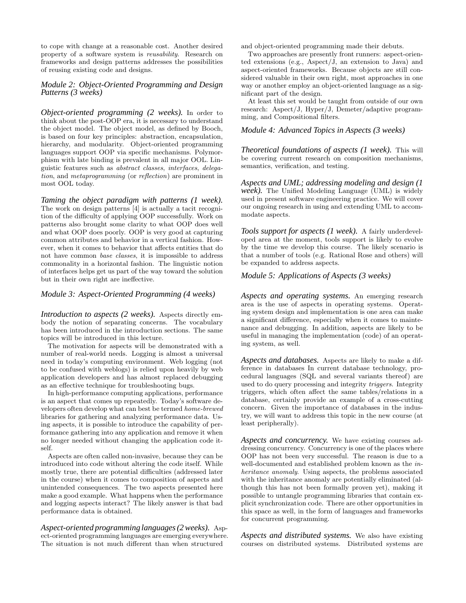to cope with change at a reasonable cost. Another desired property of a software system is reusability. Research on frameworks and design patterns addresses the possibilities of reusing existing code and designs.

#### *Module 2: Object-Oriented Programming and Design Patterns (3 weeks)*

*Object-oriented programming (2 weeks).* In order to think about the post-OOP era, it is necessary to understand the object model. The object model, as defined by Booch, is based on four key principles: abstraction, encapsulation, hierarchy, and modularity. Object-oriented programming languages support OOP via specific mechanisms. Polymorphism with late binding is prevalent in all major OOL. Linguistic features such as abstract classes, interfaces, delegation, and metaprogramming (or reflection) are prominent in most OOL today.

*Taming the object paradigm with patterns (1 week).* The work on design patterns [4] is actually a tacit recognition of the difficulty of applying OOP successfully. Work on patterns also brought some clarity to what OOP does well and what OOP does poorly. OOP is very good at capturing common attributes and behavior in a vertical fashion. However, when it comes to behavior that affects entities that do not have common base classes, it is impossible to address commonality in a horizontal fashion. The linguistic notion of interfaces helps get us part of the way toward the solution but in their own right are ineffective.

#### *Module 3: Aspect-Oriented Programming (4 weeks)*

*Introduction to aspects (2 weeks).* Aspects directly embody the notion of separating concerns. The vocabulary has been introduced in the introduction sections. The same topics will be introduced in this lecture.

The motivation for aspects will be demonstrated with a number of real-world needs. Logging is almost a universal need in today's computing environment. Web logging (not to be confused with weblogs) is relied upon heavily by web application developers and has almost replaced debugging as an effective technique for troubleshooting bugs.

In high-performance computing applications, performance is an aspect that comes up repeatedly. Today's software developers often develop what can best be termed home-brewed libraries for gathering and analyzing performance data. Using aspects, it is possible to introduce the capability of performance gathering into any application and remove it when no longer needed without changing the application code itself.

Aspects are often called non-invasive, because they can be introduced into code without altering the code itself. While mostly true, there are potential difficulties (addressed later in the course) when it comes to composition of aspects and unintended consequences. The two aspects presented here make a good example. What happens when the performance and logging aspects interact? The likely answer is that bad performance data is obtained.

*Aspect-oriented programming languages (2 weeks).* Aspect-oriented programming languages are emerging everywhere. The situation is not much different than when structured

and object-oriented programming made their debuts.

Two approaches are presently front runners: aspect-oriented extensions (e.g., Aspect/J, an extension to Java) and aspect-oriented frameworks. Because objects are still considered valuable in their own right, most approaches in one way or another employ an object-oriented language as a significant part of the design.

At least this set would be taught from outside of our own research: Aspect/J, Hyper/J, Demeter/adaptive programming, and Compositional filters.

#### *Module 4: Advanced Topics in Aspects (3 weeks)*

*Theoretical foundations of aspects (1 week).* This will be covering current research on composition mechanisms, semantics, verification, and testing.

*Aspects and UML; addressing modeling and design (1 week).* The Unified Modeling Language (UML) is widely used in present software engineering practice. We will cover our ongoing research in using and extending UML to accommodate aspects.

*Tools support for aspects (1 week).* A fairly underdeveloped area at the moment, tools support is likely to evolve by the time we develop this course. The likely scenario is that a number of tools (e.g. Rational Rose and others) will be expanded to address aspects.

## *Module 5: Applications of Aspects (3 weeks)*

*Aspects and operating systems.* An emerging research area is the use of aspects in operating systems. Operating system design and implementation is one area can make a significant difference, especially when it comes to maintenance and debugging. In addition, aspects are likely to be useful in managing the implementation (code) of an operating system, as well.

*Aspects and databases.* Aspects are likely to make a difference in databases In current database technology, procedural languages (SQL and several variants thereof) are used to do query processing and integrity triggers. Integrity triggers, which often affect the same tables/relations in a database, certainly provide an example of a cross-cutting concern. Given the importance of databases in the industry, we will want to address this topic in the new course (at least peripherally).

*Aspects and concurrency.* We have existing courses addressing concurrency. Concurrency is one of the places where OOP has not been very successful. The reason is due to a well-documented and established problem known as the inheritance anomaly. Using aspects, the problems associated with the inheritance anomaly are potentially eliminated (although this has not been formally proven yet), making it possible to untangle programming libraries that contain explicit synchronization code. There are other opportunities in this space as well, in the form of languages and frameworks for concurrent programming.

*Aspects and distributed systems.* We also have existing courses on distributed systems. Distributed systems are